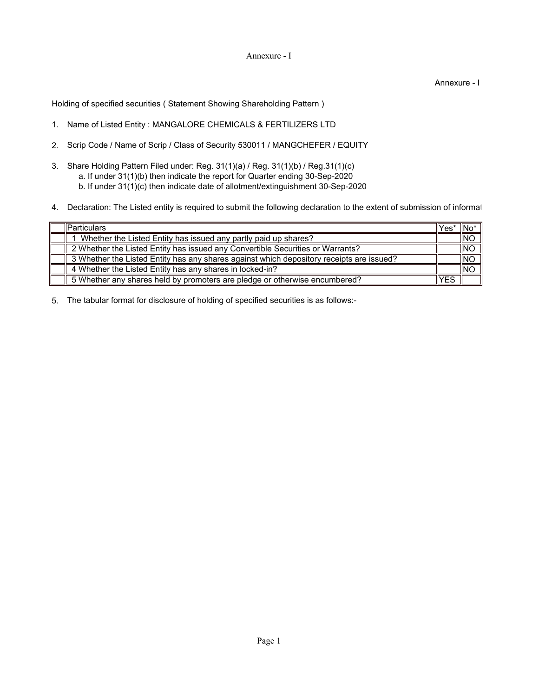## Annexure - I

Annexure - I

Holding of specified securities ( Statement Showing Shareholding Pattern )

- 1. Name of Listed Entity : MANGALORE CHEMICALS & FERTILIZERS LTD
- 2. Scrip Code / Name of Scrip / Class of Security 530011 / MANGCHEFER / EQUITY
- 3. Share Holding Pattern Filed under: Reg. 31(1)(a) / Reg. 31(1)(b) / Reg.31(1)(c) a. If under 31(1)(b) then indicate the report for Quarter ending 30-Sep-2020
	- b. If under 31(1)(c) then indicate date of allotment/extinguishment 30-Sep-2020
- 4. Declaration: The Listed entity is required to submit the following declaration to the extent of submission of informat

| lParticulars                                                                             | lYes* | "INo           |
|------------------------------------------------------------------------------------------|-------|----------------|
| Whether the Listed Entity has issued any partly paid up shares?                          |       | <b>NO</b>      |
| 2 Whether the Listed Entity has issued any Convertible Securities or Warrants?           |       | INO            |
| 3 Whether the Listed Entity has any shares against which depository receipts are issued? |       | $\parallel$ NC |
| 4 Whether the Listed Entity has any shares in locked-in?                                 |       | INC            |
| 5 Whether any shares held by promoters are pledge or otherwise encumbered?               | YES   |                |

5. The tabular format for disclosure of holding of specified securities is as follows:-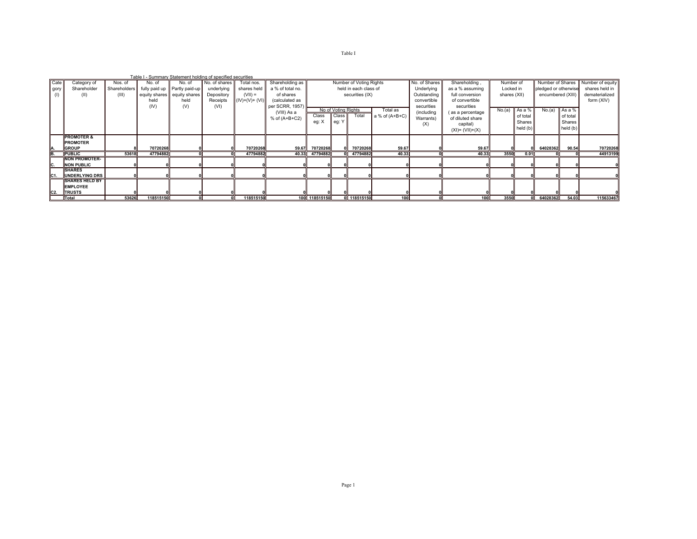|                 |      |                                                |         |           | Table I - Summary Statement holding of specified securities |                          |                           |                                     |               |                     |                                                  |                  |                             |                                      |                           |               |                                           |            |                                                     |
|-----------------|------|------------------------------------------------|---------|-----------|-------------------------------------------------------------|--------------------------|---------------------------|-------------------------------------|---------------|---------------------|--------------------------------------------------|------------------|-----------------------------|--------------------------------------|---------------------------|---------------|-------------------------------------------|------------|-----------------------------------------------------|
|                 | Cate | Category of<br>Shareholder                     | Nos. of | No. of    | No. of<br>Shareholders tilly paid up   Partly paid-up       | No. of shares            | Total nos.<br>shares held | Shareholding as<br>a % of total no. |               |                     | Number of Voting Rights<br>held in each class of |                  | No. of Shares<br>Underlying | Shareholding,                        | Number of                 |               |                                           |            | Number of Shares Number of equity<br>shares held in |
|                 | gory | (II)                                           | (III)   |           | equity shares equity shares                                 | underlying<br>Depository | $(VII) =$                 | of shares                           |               |                     | securities (IX)                                  |                  | Outstanding                 | as a % assuming<br>full conversion   | Locked in<br>shares (XII) |               | pledged or otherwise<br>encumbered (XIII) |            | dematerialized                                      |
|                 |      |                                                |         | held      | held                                                        | Receipts                 | $(IV)+(V)+(VI)$           | (calculated as                      |               |                     |                                                  |                  | convertible                 | of convertible                       |                           |               |                                           |            | form (XIV)                                          |
|                 |      |                                                |         | (IV)      | (V)                                                         | (VI)                     |                           | per SCRR, 1957)                     |               | No of Voting Rights |                                                  | Total as         | securities                  | securities                           | No.(a)                    | As a %        | No.(a)                                    | As a %     |                                                     |
|                 |      |                                                |         |           |                                                             |                          |                           | (VIII) As a<br>$%$ of $(A+B+C2)$    | Class         | Class               | Total                                            | a % of $(A+B+C)$ | (including<br>Warrants)     | (as a percentage<br>of diluted share |                           | of total      |                                           | of total   |                                                     |
|                 |      |                                                |         |           |                                                             |                          |                           |                                     | eg: X         | eg: Y               |                                                  |                  | (X)                         | capital)                             |                           | <b>Shares</b> |                                           | Shares I   |                                                     |
|                 |      |                                                |         |           |                                                             |                          |                           |                                     |               |                     |                                                  |                  |                             | $(XI) = (VII)+(X)$                   |                           | held $(b)$    |                                           | held $(b)$ |                                                     |
|                 |      | <b>PROMOTER &amp;</b><br><b>PROMOTER</b>       |         |           |                                                             |                          |                           |                                     |               |                     |                                                  |                  |                             |                                      |                           |               |                                           |            |                                                     |
|                 |      | <b>GROUP</b>                                   |         | 70720268  |                                                             |                          | 70720268                  | 59.67                               | 70720268      |                     | 70720268                                         | 59.67            |                             | 59.67                                |                           |               | 64028362                                  | 90.54      | 70720268                                            |
|                 |      | <b>PUBLIC</b>                                  | 53618   | 47794882  |                                                             |                          | 47794882                  | 40.33                               | 47794882      |                     | 0 47794882                                       | 40.33            |                             | 40.33                                | 3550                      | 0.01          |                                           |            | 44913199                                            |
|                 |      | <b>NON PROMOTER-</b>                           |         |           |                                                             |                          |                           |                                     |               |                     |                                                  |                  |                             |                                      |                           |               |                                           |            |                                                     |
| IC.             |      | <b>NON PUBLIC</b>                              |         |           |                                                             |                          |                           |                                     |               |                     |                                                  |                  |                             |                                      |                           |               |                                           |            |                                                     |
|                 |      | <b>SHARES</b>                                  |         |           |                                                             |                          |                           |                                     |               |                     |                                                  |                  |                             |                                      |                           |               |                                           |            |                                                     |
| IC <sub>1</sub> |      | <b>UNDERLYING DRS</b><br><b>SHARES HELD BY</b> |         |           |                                                             |                          |                           |                                     |               |                     |                                                  |                  |                             |                                      |                           |               |                                           |            |                                                     |
|                 |      | <b>EMPLOYEE</b>                                |         |           |                                                             |                          |                           |                                     |               |                     |                                                  |                  |                             |                                      |                           |               |                                           |            |                                                     |
| C2.             |      | <b>TRUSTS</b>                                  |         |           |                                                             |                          |                           |                                     |               |                     |                                                  |                  |                             |                                      |                           |               |                                           |            |                                                     |
|                 |      | Total                                          | 53626   | 118515150 |                                                             |                          | 118515150                 |                                     | 100 118515150 |                     | 0 118515150                                      | 100              |                             | 100                                  | 3550                      |               | 64028362                                  | 54.03      | 115633467                                           |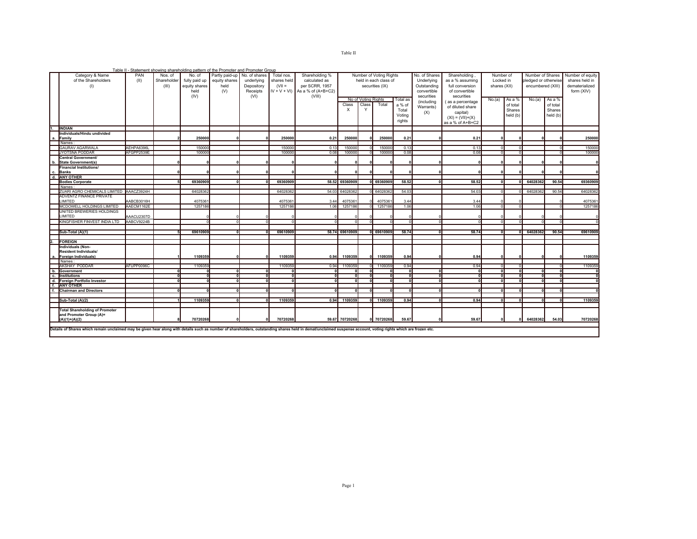| u.<br> | . |  |
|--------|---|--|
|        |   |  |

|                         |                                                                                                                                                                                                                |                                                                                    |       |               | Table II - Statement showing shareholding pattern of the Promoter and Promoter Group |            |               |                                 |                                 |              |                         |            |               |                    |              |          |                      |          |                  |
|-------------------------|----------------------------------------------------------------------------------------------------------------------------------------------------------------------------------------------------------------|------------------------------------------------------------------------------------|-------|---------------|--------------------------------------------------------------------------------------|------------|---------------|---------------------------------|---------------------------------|--------------|-------------------------|------------|---------------|--------------------|--------------|----------|----------------------|----------|------------------|
|                         | Category & Name<br>PAN<br>Partly paid-up No. of shares<br>Shareholding %<br>Nos. of<br>No. of<br>Total nos.                                                                                                    |                                                                                    |       |               |                                                                                      |            |               |                                 |                                 |              | Number of Voting Rights |            | No. of Shares | Shareholding,      | Number of    |          | Number of Shares     |          | Number of equity |
|                         | of the Shareholders                                                                                                                                                                                            | (II)<br>Shareholder<br>fully paid up<br>equity shares<br>underlying<br>shares held |       |               |                                                                                      |            |               |                                 |                                 |              | held in each class of   |            | Underlying    | as a % assuming    | Locked in    |          | pledged or otherwise |          | shares held in   |
|                         | (1)                                                                                                                                                                                                            |                                                                                    | (III) | equity shares | held                                                                                 | Depository | $(VII =$      | calculated as<br>per SCRR. 1957 |                                 |              | securities (IX)         |            | Outstanding   | full conversion    | shares (XII) |          | encumbered (XIII)    |          | dematerialized   |
|                         |                                                                                                                                                                                                                |                                                                                    |       |               |                                                                                      |            |               |                                 |                                 |              |                         |            |               |                    |              |          |                      |          |                  |
|                         |                                                                                                                                                                                                                |                                                                                    |       | held          | (V)                                                                                  | Receipts   | $IV + V + VI$ | As a % of $(A+B+C2)$            |                                 |              |                         |            | convertible   | of convertible     |              |          |                      |          | form (XIV)       |
|                         |                                                                                                                                                                                                                |                                                                                    |       | (IV)          |                                                                                      | (VI)       |               | (VIII)                          | No of Voting Rights<br>Total as |              |                         | securities | securities    |                    |              |          |                      |          |                  |
|                         |                                                                                                                                                                                                                |                                                                                    |       |               |                                                                                      |            |               |                                 |                                 |              | Total<br>Class          |            | (including    | (as a percentage   | No.(a)       | As a %   | No.(a)               | As a %   |                  |
|                         |                                                                                                                                                                                                                |                                                                                    |       |               |                                                                                      |            |               |                                 | Class                           |              |                         | a % of     | Warrants)     | of diluted share   |              | of total |                      | of total |                  |
|                         |                                                                                                                                                                                                                |                                                                                    |       |               |                                                                                      |            |               |                                 | X                               | $\checkmark$ |                         | Total      |               |                    |              | Shares   |                      | Shares   |                  |
|                         |                                                                                                                                                                                                                |                                                                                    |       |               |                                                                                      |            |               |                                 |                                 |              |                         | Votina     | (X)           | capital)           |              | held (b) |                      | held (b) |                  |
|                         |                                                                                                                                                                                                                |                                                                                    |       |               |                                                                                      |            |               |                                 |                                 |              |                         |            |               | $(XI) = (VII)+(X)$ |              |          |                      |          |                  |
|                         |                                                                                                                                                                                                                |                                                                                    |       |               |                                                                                      |            |               |                                 |                                 |              |                         | rights     |               | as a % of A+B+C2   |              |          |                      |          |                  |
|                         | <b>INDIAN</b>                                                                                                                                                                                                  |                                                                                    |       |               |                                                                                      |            |               |                                 |                                 |              |                         |            |               |                    |              |          |                      |          |                  |
|                         | Individuals/Hindu undivided                                                                                                                                                                                    |                                                                                    |       |               |                                                                                      |            |               |                                 |                                 |              |                         |            |               |                    |              |          |                      |          |                  |
|                         | Family                                                                                                                                                                                                         |                                                                                    |       | 250000        |                                                                                      |            | 250000        | 0.21                            | 250000                          |              | 250000                  | 0.21       |               | 0.21               |              |          |                      |          | 250000           |
|                         | Names                                                                                                                                                                                                          |                                                                                    |       |               |                                                                                      |            |               |                                 |                                 |              |                         |            |               |                    |              |          |                      |          |                  |
|                         | <b>GAURAV AGARWALA</b>                                                                                                                                                                                         | AEHPA6396L                                                                         |       | 150000        |                                                                                      |            | 150000        | 0.13                            | 150000                          |              | 150000                  | 0.13       |               | 0.13               |              |          |                      |          | 150000           |
|                         | <b>JYOTSNA PODDAR</b>                                                                                                                                                                                          | AFGPP2539E                                                                         |       | 100000        |                                                                                      |            | 100000        | 0.08                            | 100000                          | $\Omega$     | 100000                  | 0.08       |               | 0.08               |              | $\Omega$ |                      |          | 100000           |
|                         |                                                                                                                                                                                                                |                                                                                    |       |               |                                                                                      |            |               |                                 |                                 |              |                         |            |               |                    |              |          |                      |          |                  |
|                         | Central Government/                                                                                                                                                                                            |                                                                                    |       |               |                                                                                      |            |               |                                 |                                 |              |                         |            |               |                    |              |          |                      |          |                  |
| b.                      | <b>State Government(s)</b>                                                                                                                                                                                     |                                                                                    |       |               |                                                                                      |            |               |                                 |                                 |              |                         |            |               |                    |              |          |                      |          |                  |
|                         | <b>Financial Institutions/</b>                                                                                                                                                                                 |                                                                                    |       |               |                                                                                      |            |               |                                 |                                 |              |                         |            |               |                    |              |          |                      |          |                  |
|                         | c. Banks                                                                                                                                                                                                       |                                                                                    |       |               |                                                                                      |            |               |                                 |                                 |              |                         |            |               |                    |              |          |                      |          |                  |
| $\overline{\mathsf{d}}$ | <b>ANY OTHER</b>                                                                                                                                                                                               |                                                                                    |       |               |                                                                                      |            |               |                                 |                                 |              |                         |            |               |                    |              |          |                      |          |                  |
|                         | <b>Bodies Corporate</b>                                                                                                                                                                                        |                                                                                    |       | 69360909      |                                                                                      | $\Omega$   | 69360909      |                                 | 58.52 69360909                  |              | 0 69360909              | 58.52      |               | 58.52              |              |          | 64028362             | 90.54    | 69360909         |
|                         | Names:                                                                                                                                                                                                         |                                                                                    |       |               |                                                                                      |            |               |                                 |                                 |              |                         |            |               |                    |              |          |                      |          |                  |
|                         | ZUARI AGRO CHEMICALS LIMITED                                                                                                                                                                                   | AAACZ3924H                                                                         |       | 64028362      |                                                                                      |            | 6402836       | 54.03                           | 64028362                        |              | 6402836                 | 54.03      |               | 54.03              |              |          | 6402836              | 90.54    | 64028362         |
|                         | ADVENTZ FINANCE PRIVATE                                                                                                                                                                                        |                                                                                    |       |               |                                                                                      |            |               |                                 |                                 |              |                         |            |               |                    |              |          |                      |          |                  |
|                         | LIMITED                                                                                                                                                                                                        | AABCB3016H                                                                         |       | 407536        |                                                                                      |            | 407536        | 3.44                            | 4075361                         |              | 407536                  | 3.44       |               | 3.44               |              |          |                      |          | 407536           |
|                         | MCDOWELL HOLDINGS LIMITED                                                                                                                                                                                      | AAECM1162E                                                                         |       | 1257186       |                                                                                      |            | 1257186       | 1.06                            | 1257186                         |              | 1257186                 | 1.06       |               | 1.06               |              | $\Omega$ |                      |          | 1257186          |
|                         | UNITED BREWERIES HOLDINGS                                                                                                                                                                                      |                                                                                    |       |               |                                                                                      |            |               |                                 |                                 |              |                         |            |               |                    |              |          |                      |          |                  |
|                         |                                                                                                                                                                                                                |                                                                                    |       |               |                                                                                      |            |               |                                 |                                 |              |                         |            |               |                    |              |          |                      |          |                  |
|                         | LIMITED                                                                                                                                                                                                        | AAACU2307D                                                                         |       |               |                                                                                      |            |               |                                 |                                 |              |                         |            |               |                    |              |          |                      |          |                  |
|                         | KINGFISHER FINVEST INDIA LTD                                                                                                                                                                                   | AABCV9224B                                                                         |       |               |                                                                                      |            |               |                                 | $\Omega$                        |              |                         |            |               |                    |              |          |                      |          |                  |
|                         |                                                                                                                                                                                                                |                                                                                    |       |               |                                                                                      |            |               |                                 |                                 |              |                         |            |               |                    |              |          |                      |          |                  |
|                         | Sub-Total (A)(1)                                                                                                                                                                                               |                                                                                    |       | 69610909      |                                                                                      | nl         | 6961090       |                                 | 58.74 69610909                  |              | 69610909                | 58.74      |               | 58.74              |              |          | 64028362             | 90.54    | 69610909         |
|                         |                                                                                                                                                                                                                |                                                                                    |       |               |                                                                                      |            |               |                                 |                                 |              |                         |            |               |                    |              |          |                      |          |                  |
|                         | <b>FOREIGN</b>                                                                                                                                                                                                 |                                                                                    |       |               |                                                                                      |            |               |                                 |                                 |              |                         |            |               |                    |              |          |                      |          |                  |
|                         | Individuals (Non-                                                                                                                                                                                              |                                                                                    |       |               |                                                                                      |            |               |                                 |                                 |              |                         |            |               |                    |              |          |                      |          |                  |
|                         | <b>Resident Individuals/</b>                                                                                                                                                                                   |                                                                                    |       |               |                                                                                      |            |               |                                 |                                 |              |                         |            |               |                    |              |          |                      |          |                  |
| а.                      | Foreign Individuals)                                                                                                                                                                                           |                                                                                    |       | 1109359       |                                                                                      |            | 110935        | 0.94                            | 1109359                         |              | 1109359                 | 0.94       |               | 0.94               |              |          |                      |          | 1109359          |
|                         | Names:                                                                                                                                                                                                         |                                                                                    |       |               |                                                                                      |            |               |                                 |                                 |              |                         |            |               |                    |              |          |                      |          |                  |
|                         | AKSHAY PODDAR                                                                                                                                                                                                  | AFUPP0096C                                                                         |       | 1109359       |                                                                                      |            | 110935        | 0.94                            | 1109359                         |              | 1109359                 | 0.94       |               | 0.94               |              |          |                      |          | 1109359          |
|                         | b. Government                                                                                                                                                                                                  |                                                                                    |       |               | nl                                                                                   | $\Omega$   |               |                                 | $\mathbf{r}$                    |              |                         |            | nl            |                    |              |          |                      |          |                  |
|                         |                                                                                                                                                                                                                |                                                                                    |       |               | nl                                                                                   | nl         |               |                                 | $\mathbf{0}$                    |              | $\Omega$                |            |               | n                  | $\mathbf{r}$ | n        |                      |          |                  |
| c.                      | <b>Institutions</b>                                                                                                                                                                                            |                                                                                    |       |               |                                                                                      |            |               |                                 |                                 |              |                         |            | οll           |                    |              |          |                      |          |                  |
| d.                      | Foreign Portfolio Investor                                                                                                                                                                                     |                                                                                    |       |               | 0                                                                                    | 0          |               |                                 | $\mathbf{0}$                    |              | n                       |            | 0             | Û                  |              |          |                      |          |                  |
| $\overline{f}$ .        | <b>ANY OTHER</b>                                                                                                                                                                                               |                                                                                    |       |               |                                                                                      |            |               |                                 |                                 |              |                         |            |               |                    |              |          |                      |          |                  |
|                         | <b>Chairman and Directors</b>                                                                                                                                                                                  |                                                                                    |       |               |                                                                                      |            |               |                                 | $\mathbf{0}$                    |              |                         |            | $\sim$        |                    |              |          |                      |          |                  |
|                         |                                                                                                                                                                                                                |                                                                                    |       |               |                                                                                      |            |               |                                 |                                 |              |                         |            |               |                    |              |          |                      |          |                  |
|                         | Sub-Total (A)(2)                                                                                                                                                                                               |                                                                                    |       | 1109359       |                                                                                      | $\Omega$   | 1109359       | 0.94                            | 1109359                         |              | 1109359                 | 0.94       |               | 0.94               |              |          |                      |          | 1109359          |
|                         |                                                                                                                                                                                                                |                                                                                    |       |               |                                                                                      |            |               |                                 |                                 |              |                         |            |               |                    |              |          |                      |          |                  |
|                         | <b>Total Shareholding of Promoter</b>                                                                                                                                                                          |                                                                                    |       |               |                                                                                      |            |               |                                 |                                 |              |                         |            |               |                    |              |          |                      |          |                  |
|                         | and Promoter Group (A)=                                                                                                                                                                                        |                                                                                    |       |               |                                                                                      |            |               |                                 |                                 |              |                         |            |               |                    |              |          |                      |          |                  |
|                         | $(A)(1)+(A)(2)$                                                                                                                                                                                                |                                                                                    |       | 70720268      |                                                                                      |            | 70720268      |                                 | 59.67 70720268                  |              | 70720268                | 59.67      |               | 59.67              |              |          | 64028362             | 54.03    | 70720268         |
|                         |                                                                                                                                                                                                                |                                                                                    |       |               |                                                                                      |            |               |                                 |                                 |              |                         |            |               |                    |              |          |                      |          |                  |
|                         | Details of Shares which remain unclaimed may be given hear along with details such as number of shareholders, outstanding shares held in demat/unclaimed suspense account, voting rights which are frozen etc. |                                                                                    |       |               |                                                                                      |            |               |                                 |                                 |              |                         |            |               |                    |              |          |                      |          |                  |
|                         |                                                                                                                                                                                                                |                                                                                    |       |               |                                                                                      |            |               |                                 |                                 |              |                         |            |               |                    |              |          |                      |          |                  |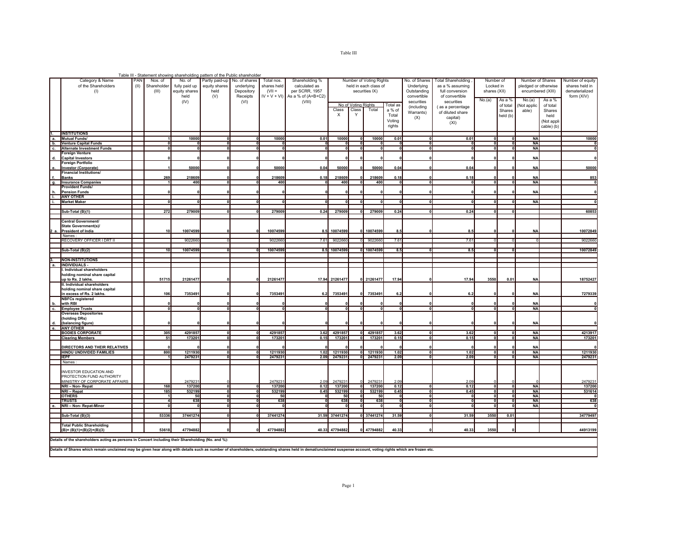|       |                                                                                                    |      |                 | Table III - Statement showing shareholding pattern of the Public shareholder |                                |            |               |                    |                |                     |                         |              |               |                           |                          |                          |                        |            |                          |
|-------|----------------------------------------------------------------------------------------------------|------|-----------------|------------------------------------------------------------------------------|--------------------------------|------------|---------------|--------------------|----------------|---------------------|-------------------------|--------------|---------------|---------------------------|--------------------------|--------------------------|------------------------|------------|--------------------------|
|       | Category & Name                                                                                    | PAN  | Nos. of         | No. of                                                                       | Partly paid-up   No. of shares |            | Total nos.    | Shareholding %     |                |                     | Number of Voting Rights |              | No. of Shares | <b>Total Shareholding</b> | Number of                |                          | Number of Shares       |            | Number of equity         |
|       | of the Shareholders                                                                                | (II) | Shareholder     | fully paid up                                                                | equity shares                  | underlying | shares held   | calculated as      |                |                     | held in each class of   |              | Underlying    | as a % assuming           | Locked in                |                          | pledged or otherwise   |            | shares held in           |
|       | (1)                                                                                                |      | (III)           | equity shares                                                                | held                           | Depository | $(VII =$      | per SCRR, 1957     |                |                     | securities IX)          |              | Outstanding   | full conversion           | shares (XII)             |                          | encumbered (XIII)      |            | dematerialized           |
|       |                                                                                                    |      |                 | held                                                                         | (V)                            | Receipts   | $IV + V + VI$ | As a % of (A+B+C2) |                |                     |                         |              | convertible   | of convertible            |                          |                          |                        |            | form (XIV)               |
|       |                                                                                                    |      |                 | (IV)                                                                         |                                | (VI)       |               | (VIII)             |                |                     |                         |              | securities    | securities                | No.(a)                   | As a %                   | No.(a)                 | As a %     |                          |
|       |                                                                                                    |      |                 |                                                                              |                                |            |               |                    |                | No of Voting Rights |                         | Total as     | (including    | (as a percentage          |                          | of total                 | Not applic             | of total   |                          |
|       |                                                                                                    |      |                 |                                                                              |                                |            |               |                    | Class          | Class               | Total                   | a % of       | Warrants)     | of diluted share          |                          | Shares                   | able)                  | Shares     |                          |
|       |                                                                                                    |      |                 |                                                                              |                                |            |               |                    | X              | Y                   |                         | Total        | (X)           | capital)                  |                          | held (b)                 |                        | held       |                          |
|       |                                                                                                    |      |                 |                                                                              |                                |            |               |                    |                |                     |                         | Voting       |               |                           |                          |                          |                        | (Not appli |                          |
|       |                                                                                                    |      |                 |                                                                              |                                |            |               |                    |                |                     |                         | rights       |               | (XI)                      |                          |                          |                        | cable) (b) |                          |
|       |                                                                                                    |      |                 |                                                                              |                                |            |               |                    |                |                     |                         |              |               |                           |                          |                          |                        |            |                          |
|       | <b>INSTITUTIONS</b>                                                                                |      |                 |                                                                              |                                |            |               |                    |                |                     |                         |              |               |                           |                          |                          |                        |            |                          |
| a.    | <b>Mutual Funds/</b>                                                                               |      |                 | 10000                                                                        | 0                              | ᇭ          | 10000         | 0.01               | 10000          | ᇭ                   | 10000                   | 0.01         |               | 0.01                      | ᆒ                        | ٥                        | <b>NA</b>              |            | 10000                    |
| b.    | <b>Venture Capital Funds</b>                                                                       |      | oll             | 0                                                                            | oll                            | oll        |               |                    | $\mathbf{0}$   | oll                 |                         | o            | $\Omega$      | $\mathbf{0}$              | oll                      | $\mathbf{0}$             | <b>NA</b>              |            | $\mathbf{0}$             |
| c.    | <b>Alternate Investment Funds</b>                                                                  |      | oll             | oll                                                                          | oll                            | oll        |               |                    | n.             | nl                  | $\sqrt{2}$              | nll          | $\sqrt{2}$    | $\Omega$                  | oll                      | $\mathbf{0}$             | <b>NA</b>              |            |                          |
|       | Foreign Venture                                                                                    |      |                 |                                                                              |                                |            |               |                    |                |                     |                         |              |               |                           |                          |                          |                        |            |                          |
| d.    | <b>Capital Investors</b>                                                                           |      |                 |                                                                              |                                |            |               |                    | $\sqrt{2}$     |                     |                         |              |               |                           |                          |                          | <b>NA</b>              |            |                          |
|       | Foreign Portfolio                                                                                  |      |                 |                                                                              |                                |            |               |                    |                |                     |                         |              |               |                           |                          |                          |                        |            |                          |
| е.    | <b>Investor (Corporate)</b>                                                                        |      |                 | 50000                                                                        |                                |            | 50000         | 0.04               | 50000          |                     | 50000                   | 0.04         |               | 0.04                      |                          |                          | <b>NA</b>              |            | 50000                    |
|       | <b>Financial Institutions/</b>                                                                     |      |                 |                                                                              |                                |            |               |                    |                |                     |                         |              |               |                           |                          |                          |                        |            |                          |
|       | <b>Banks</b>                                                                                       |      | 269             | 218609                                                                       |                                |            | 218609        | 0.18               | 218609         |                     | 218609                  | 0.18         |               | 0.18                      | $\Omega$                 |                          | <b>NA</b>              |            | 853                      |
| g.    | <b>Insurance Companies</b>                                                                         |      |                 | 400                                                                          | 0                              | 0          | 400           |                    | 400            | $\mathbf{0}$        | 400                     | $\Omega$     |               |                           | 해                        | $\mathbf{0}$             | <b>NA</b>              |            | $\overline{\phantom{a}}$ |
|       | Provident Funds/                                                                                   |      |                 |                                                                              |                                |            |               |                    |                |                     |                         |              |               |                           |                          |                          |                        |            |                          |
| h.    | <b>Pension Funds</b>                                                                               |      |                 |                                                                              |                                |            |               |                    |                |                     |                         |              |               |                           | $\Omega$                 |                          | <b>NA</b>              |            |                          |
| T.    | <b>ANY OTHER</b>                                                                                   |      |                 |                                                                              |                                |            |               |                    |                |                     |                         |              |               |                           |                          |                          |                        |            |                          |
| i.    | <b>Market Maker</b>                                                                                |      |                 |                                                                              |                                |            |               |                    |                |                     |                         | $\mathbf{a}$ |               |                           | nl                       |                          | <b>NA</b>              |            |                          |
|       |                                                                                                    |      |                 |                                                                              |                                |            |               |                    |                |                     |                         |              |               |                           |                          |                          |                        |            |                          |
|       | Sub-Total (B)(1)                                                                                   |      | 272             | 279009                                                                       | 0                              | 0          | 279009        | 0.24               | 279009         | οll                 | 279009                  | 0.24         |               | 0.24                      | 0                        | $\Omega$                 |                        |            | 60853                    |
|       |                                                                                                    |      |                 |                                                                              |                                |            |               |                    |                |                     |                         |              |               |                           |                          |                          |                        |            |                          |
|       | Central Government/                                                                                |      |                 |                                                                              |                                |            |               |                    |                |                     |                         |              |               |                           |                          |                          |                        |            |                          |
|       | State Government(s)/                                                                               |      |                 |                                                                              |                                |            |               |                    |                |                     |                         |              |               |                           |                          |                          |                        |            |                          |
| 12 a. | <b>President of India</b>                                                                          |      | 10              | 10074599                                                                     |                                |            | 10074599      | 8.5                | 10074599       |                     | 10074599                | 8.5          |               | 8.5                       |                          |                          | <b>NA</b>              |            | 10072849                 |
|       | Names:                                                                                             |      |                 |                                                                              |                                |            |               |                    |                |                     |                         |              |               |                           |                          |                          |                        |            |                          |
|       | RECOVERY OFFICER I DRT II                                                                          |      |                 | 9022660                                                                      |                                |            | 902266        | 7.61               | 9022660        |                     | 9022660                 | 7.61         |               | 7.61                      |                          |                          |                        |            | 9022660                  |
|       |                                                                                                    |      |                 |                                                                              |                                |            |               |                    |                |                     |                         |              |               |                           |                          |                          |                        |            |                          |
|       | Sub-Total (B)(2)                                                                                   |      | 10 <sup>1</sup> | 10074599                                                                     |                                |            | 10074599      | 8.5                | 10074599       |                     | 0 10074599              | 8.5          |               | 8.5                       | $\mathbf{a}$             |                          |                        |            | 10072849                 |
|       |                                                                                                    |      |                 |                                                                              |                                |            |               |                    |                |                     |                         |              |               |                           |                          |                          |                        |            |                          |
|       | <b>NON-INSTITUTIONS</b>                                                                            |      |                 |                                                                              |                                |            |               |                    |                |                     |                         |              |               |                           |                          |                          |                        |            |                          |
| а.    | INDIVIDUALS -                                                                                      |      |                 |                                                                              |                                |            |               |                    |                |                     |                         |              |               |                           |                          |                          |                        |            |                          |
|       | Individual shareholders                                                                            |      |                 |                                                                              |                                |            |               |                    |                |                     |                         |              |               |                           |                          |                          |                        |            |                          |
|       | holding nominal share capital                                                                      |      |                 |                                                                              |                                |            |               |                    |                |                     |                         |              |               |                           |                          |                          |                        |            |                          |
|       | up to Rs. 2 lakhs.                                                                                 |      | 51715           | 21261477                                                                     |                                |            | 21261477      | 17.94              | 21261477       |                     | 0 21261477              | 17.94        |               | 17.94                     | 3550                     | 0.01                     | <b>NA</b>              |            | 18752427                 |
|       | II. Individual shareholders                                                                        |      |                 |                                                                              |                                |            |               |                    |                |                     |                         |              |               |                           |                          |                          |                        |            |                          |
|       | holding nominal share capital                                                                      |      |                 |                                                                              |                                |            |               |                    |                |                     |                         |              |               |                           |                          |                          |                        |            |                          |
|       | in excess of Rs. 2 lakhs.                                                                          |      | 106             | 7353491                                                                      |                                |            | 7353491       | 6.2                | 7353491        |                     | 7353491                 | 6.2          |               | 6.2                       |                          |                          | <b>NA</b>              |            | 7279339                  |
|       | <b>NBFCs registered</b>                                                                            |      |                 |                                                                              |                                |            |               |                    |                |                     |                         |              |               |                           |                          |                          |                        |            |                          |
| b.    | with RBI                                                                                           |      |                 |                                                                              |                                |            |               |                    |                |                     |                         |              |               |                           |                          |                          | <b>NA</b>              |            |                          |
| c.    | <b>Employee Trusts</b>                                                                             |      |                 |                                                                              |                                |            |               |                    |                |                     |                         |              |               |                           |                          |                          | <b>NA</b>              |            |                          |
|       | <b>Overseas Depositories</b>                                                                       |      |                 |                                                                              |                                |            |               |                    |                |                     |                         |              |               |                           |                          |                          |                        |            |                          |
|       | (holding DRs)                                                                                      |      |                 |                                                                              |                                |            |               |                    |                |                     |                         |              |               |                           |                          |                          |                        |            |                          |
| d.    | (balancing figure)                                                                                 |      |                 |                                                                              |                                |            |               |                    |                |                     |                         |              |               |                           |                          |                          | <b>NA</b>              |            |                          |
| е.    | <b>ANY OTHER</b>                                                                                   |      |                 |                                                                              |                                |            |               |                    |                |                     |                         |              |               |                           |                          |                          |                        |            |                          |
|       | <b>BODIES CORPORATE</b>                                                                            |      | 305             | 4291857                                                                      | 0                              | 0          | 4291857       | 3.62               | 4291857        | o١                  | 4291857                 | 3.62         |               | 3.62                      | 0                        | $\mathbf{0}$             | <b>NA</b>              |            | 4213917                  |
|       | <b>Clearing Members</b>                                                                            |      | 51              | 173201                                                                       | ᇭ                              | ᇭ          | 173201        | 0.15               | 173201         |                     | 173201                  | 0.15         |               | 0.15                      | ᆒ                        | $\mathbf{0}$             | <b>NA</b>              |            | 173201                   |
|       |                                                                                                    |      |                 |                                                                              |                                |            |               |                    |                |                     |                         |              |               |                           |                          |                          |                        |            |                          |
|       | DIRECTORS AND THEIR RELATIVES                                                                      |      | 800             | 1211930                                                                      |                                |            |               | 1.02               |                |                     | 0 1211930               | 1.02         | $\Omega$      |                           |                          |                          | <b>NA</b><br><b>NA</b> |            | 1211930                  |
|       | HINDU UNDIVIDED FAMILIES                                                                           |      |                 |                                                                              | oll                            | oll        | 1211930       |                    | 1211930        |                     |                         |              |               | 1.02                      | ᆒ                        | $\mathbf{0}$<br>$\Omega$ |                        |            |                          |
|       | <b>IEPF</b>                                                                                        |      |                 | 2479231                                                                      | oll                            | 0ll        | 2479231       | 2.09               | 2479231        |                     | 0 2479231               | 2.09         |               | 2.09                      | oll                      |                          | <b>NA</b>              |            | 2479231                  |
|       | Names:                                                                                             |      |                 |                                                                              |                                |            |               |                    |                |                     |                         |              |               |                           |                          |                          |                        |            |                          |
|       | <b>INVESTOR EDUCATION AND</b>                                                                      |      |                 |                                                                              |                                |            |               |                    |                |                     |                         |              |               |                           |                          |                          |                        |            |                          |
|       | PROTECTION FUND AUTHORITY                                                                          |      |                 |                                                                              |                                |            |               |                    |                |                     |                         |              |               |                           |                          |                          |                        |            |                          |
|       | MINISTRY OF CORPORATE AFFAIRS                                                                      |      |                 | 2479231                                                                      |                                |            | 2479231       | 2.09               | 2479231        |                     | 247923                  | 2.09         |               | 2.09                      |                          |                          |                        |            | 2479231                  |
|       | NRI - Non-Repat                                                                                    |      | 168             | 137200                                                                       | oll                            | 0          | 137200        | 0.12               | 137200         | 0                   | 137200                  | 0.12         |               | 0.12                      | ᆒ                        | $\mathbf{0}$             | <b>NA</b>              |            | 137200                   |
|       | NRI-Repat                                                                                          |      | 185             | 532199                                                                       | 0                              | 0l         | 532199        | 0.45               | 532199         | $\mathbf{0}$        | 532199                  | 0.45         |               | 0.45                      | $\overline{\mathbf{0}}$  | $\mathbf 0$              | <b>NA</b>              |            | 531614                   |
|       | <b>OTHERS</b>                                                                                      |      | $\mathbf{1}$    | 50                                                                           | o                              | 0l         | 50            |                    | 50             | $\Omega$            | 50                      | o            |               | $\Omega$                  | $\overline{\phantom{a}}$ | $\overline{\mathbf{0}}$  | <b>NA</b>              |            |                          |
|       | <b>TRUSTS</b>                                                                                      |      | 41              | 638                                                                          | ᆒ                              | ᆒ          | 638           | $\Omega$           | 638            | 0                   | 638                     | ᆒ            |               | $\Omega$                  | ᅃ                        | $\overline{\mathbf{0}}$  | <b>NA</b>              |            | 638                      |
| е.    | NRI - Non- Repat-Minor                                                                             |      | oll             | oll                                                                          | 0                              | ᇭ          |               |                    | $\mathbf{r}$   | nl                  |                         | ᆒ            | $\mathbf{r}$  | $\mathbf{a}$              | ᆒ                        | $\overline{\mathbf{0}}$  | <b>NA</b>              |            |                          |
|       |                                                                                                    |      |                 |                                                                              |                                |            |               |                    |                |                     |                         |              |               |                           |                          |                          |                        |            |                          |
|       | Sub-Total (B)(3)                                                                                   |      | 53336           | 37441274                                                                     | 0                              | 0          | 37441274      |                    | 31.59 37441274 |                     | 0 37441274              | 31.59        |               | 31.59                     | 3550                     | 0.01                     |                        |            | 34779497                 |
|       |                                                                                                    |      |                 |                                                                              |                                |            |               |                    |                |                     |                         |              |               |                           |                          |                          |                        |            |                          |
|       | <b>Total Public Shareholding</b>                                                                   |      |                 |                                                                              |                                |            |               |                    |                |                     |                         |              |               |                           |                          |                          |                        |            |                          |
|       | $(B)=(B)(1)+(B)(2)+(B)(3)$                                                                         |      | 53618           | 47794882                                                                     |                                |            | 47794882      |                    | 40.33 47794882 |                     | 47794882                | 40.33        |               | 40.33                     | 3550                     |                          |                        |            | 44913199                 |
|       |                                                                                                    |      |                 |                                                                              |                                |            |               |                    |                |                     |                         |              |               |                           |                          |                          |                        |            |                          |
|       | Details of the shareholders acting as persons in Concert including their Shareholding (No. and %): |      |                 |                                                                              |                                |            |               |                    |                |                     |                         |              |               |                           |                          |                          |                        |            |                          |

**Details of Shares which remain unclaimed may be given hear along with details such as number of shareholders, outstanding shares held in demat/unclaimed suspense account, voting rights which are frozen etc.**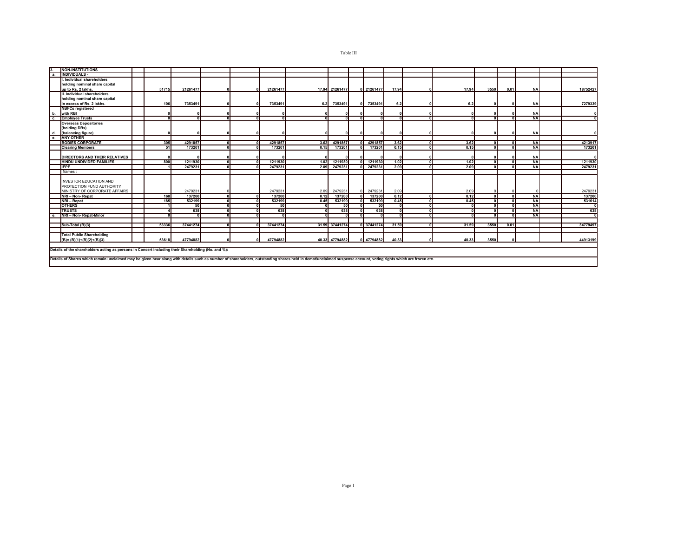| <b>INDIVIDUALS -</b><br>а.<br>I. Individual shareholders<br>holding nominal share capital<br>up to Rs. 2 lakhs.<br>51715<br>21261477<br>21261477<br>17.94 21261477<br>0 21261477<br>17.94<br>17.94<br>3550<br>0.01<br>18752427<br>NAI<br>II. Individual shareholders<br>holding nominal share capital<br>in excess of Rs. 2 lakhs.<br>106<br>7353491<br>7353491<br>6.2 7353491<br>7353491<br>6.2<br>NAI<br>7279339<br>6.2<br><b>NBFCs registered</b><br>with RBI<br><b>NAI</b><br>b.<br><b>NA</b><br>╖<br><b>Employee Trusts</b><br>c.<br><b>Overseas Depositories</b><br>(holding DRs)<br>(balancing figure)<br><b>NA</b><br>d.<br><b>ANY OTHER</b><br><b>BODIES CORPORATE</b><br>4291857<br>4291857<br>3.62<br>4291857<br>3.62<br>4213917<br>305<br>4291857<br>3.62<br><b>NA</b><br>$\Omega$<br>nl<br>$\Omega$<br>0.15<br>173201<br>173201<br>173201<br>173201<br>173201<br>0.15<br><b>NA</b><br><b>Clearing Members</b><br>51<br>0.15<br>$\Omega$<br>ωll<br>n<br>DIRECTORS AND THEIR RELATIVES<br><b>NAI</b><br>1211930<br>1211930<br>1.02<br>1.02<br><b>NAI</b><br><b>HINDU UNDIVIDED FAMILIES</b><br>800<br>1.02<br>1211930<br>$\Omega$<br>nl<br>1211930<br>2.09<br><b>IEPF</b><br>2479231<br>2479231<br>2.09<br><b>NA</b><br>2479231<br>2.09<br>2479231<br>Names:<br><b>INVESTOR EDUCATION AND</b><br>PROTECTION FUND AUTHORITY<br>2479231<br>2479231<br>2479231<br>MINISTRY OF CORPORATE AFFAIRS<br>2479231<br>2.09<br>2.09<br>2479231<br>2.09<br>0.12<br>0.12<br><b>NAI</b><br>168<br>137200<br>ᇭ<br>137200<br>137200<br>NRI - Non-Repat<br>᠗<br>0.12<br>137200<br>0.45<br><b>NAI</b><br>NRI - Repat<br>185<br>532199<br>532199<br>0.45<br>532199<br>0.45<br>$\mathbf{a}$<br>oll<br>532199<br><b>OTHERS</b><br>50<br>50<br><b>NA</b><br>50<br>50<br>$\sqrt{2}$<br>n۱۱<br><b>TRUSTS</b><br>638<br>638<br>638<br>638<br>638<br><b>NA</b><br>$\sqrt{2}$<br>nl<br>NRI - Non- Repat-Minor<br><b>NA</b><br>ωll<br>31.59 37441274<br>31.59<br>3550<br>34779497<br>53336<br>37441274<br>37441274<br>37441274<br>31.59<br>0.01<br>Sub-Total (B)(3)<br>ωll<br><b>Total Public Shareholding</b> | <b>NON-INSTITUTIONS</b> |  |  |  |  |  |  |  |  |          |
|----------------------------------------------------------------------------------------------------------------------------------------------------------------------------------------------------------------------------------------------------------------------------------------------------------------------------------------------------------------------------------------------------------------------------------------------------------------------------------------------------------------------------------------------------------------------------------------------------------------------------------------------------------------------------------------------------------------------------------------------------------------------------------------------------------------------------------------------------------------------------------------------------------------------------------------------------------------------------------------------------------------------------------------------------------------------------------------------------------------------------------------------------------------------------------------------------------------------------------------------------------------------------------------------------------------------------------------------------------------------------------------------------------------------------------------------------------------------------------------------------------------------------------------------------------------------------------------------------------------------------------------------------------------------------------------------------------------------------------------------------------------------------------------------------------------------------------------------------------------------------------------------------------------------------------------------------------------------------------------------------------------------------------------------------------------------------------------------|-------------------------|--|--|--|--|--|--|--|--|----------|
|                                                                                                                                                                                                                                                                                                                                                                                                                                                                                                                                                                                                                                                                                                                                                                                                                                                                                                                                                                                                                                                                                                                                                                                                                                                                                                                                                                                                                                                                                                                                                                                                                                                                                                                                                                                                                                                                                                                                                                                                                                                                                              |                         |  |  |  |  |  |  |  |  |          |
|                                                                                                                                                                                                                                                                                                                                                                                                                                                                                                                                                                                                                                                                                                                                                                                                                                                                                                                                                                                                                                                                                                                                                                                                                                                                                                                                                                                                                                                                                                                                                                                                                                                                                                                                                                                                                                                                                                                                                                                                                                                                                              |                         |  |  |  |  |  |  |  |  |          |
|                                                                                                                                                                                                                                                                                                                                                                                                                                                                                                                                                                                                                                                                                                                                                                                                                                                                                                                                                                                                                                                                                                                                                                                                                                                                                                                                                                                                                                                                                                                                                                                                                                                                                                                                                                                                                                                                                                                                                                                                                                                                                              |                         |  |  |  |  |  |  |  |  |          |
|                                                                                                                                                                                                                                                                                                                                                                                                                                                                                                                                                                                                                                                                                                                                                                                                                                                                                                                                                                                                                                                                                                                                                                                                                                                                                                                                                                                                                                                                                                                                                                                                                                                                                                                                                                                                                                                                                                                                                                                                                                                                                              |                         |  |  |  |  |  |  |  |  |          |
|                                                                                                                                                                                                                                                                                                                                                                                                                                                                                                                                                                                                                                                                                                                                                                                                                                                                                                                                                                                                                                                                                                                                                                                                                                                                                                                                                                                                                                                                                                                                                                                                                                                                                                                                                                                                                                                                                                                                                                                                                                                                                              |                         |  |  |  |  |  |  |  |  |          |
|                                                                                                                                                                                                                                                                                                                                                                                                                                                                                                                                                                                                                                                                                                                                                                                                                                                                                                                                                                                                                                                                                                                                                                                                                                                                                                                                                                                                                                                                                                                                                                                                                                                                                                                                                                                                                                                                                                                                                                                                                                                                                              |                         |  |  |  |  |  |  |  |  |          |
|                                                                                                                                                                                                                                                                                                                                                                                                                                                                                                                                                                                                                                                                                                                                                                                                                                                                                                                                                                                                                                                                                                                                                                                                                                                                                                                                                                                                                                                                                                                                                                                                                                                                                                                                                                                                                                                                                                                                                                                                                                                                                              |                         |  |  |  |  |  |  |  |  |          |
|                                                                                                                                                                                                                                                                                                                                                                                                                                                                                                                                                                                                                                                                                                                                                                                                                                                                                                                                                                                                                                                                                                                                                                                                                                                                                                                                                                                                                                                                                                                                                                                                                                                                                                                                                                                                                                                                                                                                                                                                                                                                                              |                         |  |  |  |  |  |  |  |  |          |
|                                                                                                                                                                                                                                                                                                                                                                                                                                                                                                                                                                                                                                                                                                                                                                                                                                                                                                                                                                                                                                                                                                                                                                                                                                                                                                                                                                                                                                                                                                                                                                                                                                                                                                                                                                                                                                                                                                                                                                                                                                                                                              |                         |  |  |  |  |  |  |  |  |          |
|                                                                                                                                                                                                                                                                                                                                                                                                                                                                                                                                                                                                                                                                                                                                                                                                                                                                                                                                                                                                                                                                                                                                                                                                                                                                                                                                                                                                                                                                                                                                                                                                                                                                                                                                                                                                                                                                                                                                                                                                                                                                                              |                         |  |  |  |  |  |  |  |  |          |
|                                                                                                                                                                                                                                                                                                                                                                                                                                                                                                                                                                                                                                                                                                                                                                                                                                                                                                                                                                                                                                                                                                                                                                                                                                                                                                                                                                                                                                                                                                                                                                                                                                                                                                                                                                                                                                                                                                                                                                                                                                                                                              |                         |  |  |  |  |  |  |  |  |          |
|                                                                                                                                                                                                                                                                                                                                                                                                                                                                                                                                                                                                                                                                                                                                                                                                                                                                                                                                                                                                                                                                                                                                                                                                                                                                                                                                                                                                                                                                                                                                                                                                                                                                                                                                                                                                                                                                                                                                                                                                                                                                                              |                         |  |  |  |  |  |  |  |  |          |
|                                                                                                                                                                                                                                                                                                                                                                                                                                                                                                                                                                                                                                                                                                                                                                                                                                                                                                                                                                                                                                                                                                                                                                                                                                                                                                                                                                                                                                                                                                                                                                                                                                                                                                                                                                                                                                                                                                                                                                                                                                                                                              |                         |  |  |  |  |  |  |  |  |          |
|                                                                                                                                                                                                                                                                                                                                                                                                                                                                                                                                                                                                                                                                                                                                                                                                                                                                                                                                                                                                                                                                                                                                                                                                                                                                                                                                                                                                                                                                                                                                                                                                                                                                                                                                                                                                                                                                                                                                                                                                                                                                                              |                         |  |  |  |  |  |  |  |  |          |
|                                                                                                                                                                                                                                                                                                                                                                                                                                                                                                                                                                                                                                                                                                                                                                                                                                                                                                                                                                                                                                                                                                                                                                                                                                                                                                                                                                                                                                                                                                                                                                                                                                                                                                                                                                                                                                                                                                                                                                                                                                                                                              |                         |  |  |  |  |  |  |  |  |          |
|                                                                                                                                                                                                                                                                                                                                                                                                                                                                                                                                                                                                                                                                                                                                                                                                                                                                                                                                                                                                                                                                                                                                                                                                                                                                                                                                                                                                                                                                                                                                                                                                                                                                                                                                                                                                                                                                                                                                                                                                                                                                                              |                         |  |  |  |  |  |  |  |  |          |
|                                                                                                                                                                                                                                                                                                                                                                                                                                                                                                                                                                                                                                                                                                                                                                                                                                                                                                                                                                                                                                                                                                                                                                                                                                                                                                                                                                                                                                                                                                                                                                                                                                                                                                                                                                                                                                                                                                                                                                                                                                                                                              |                         |  |  |  |  |  |  |  |  |          |
|                                                                                                                                                                                                                                                                                                                                                                                                                                                                                                                                                                                                                                                                                                                                                                                                                                                                                                                                                                                                                                                                                                                                                                                                                                                                                                                                                                                                                                                                                                                                                                                                                                                                                                                                                                                                                                                                                                                                                                                                                                                                                              |                         |  |  |  |  |  |  |  |  |          |
|                                                                                                                                                                                                                                                                                                                                                                                                                                                                                                                                                                                                                                                                                                                                                                                                                                                                                                                                                                                                                                                                                                                                                                                                                                                                                                                                                                                                                                                                                                                                                                                                                                                                                                                                                                                                                                                                                                                                                                                                                                                                                              |                         |  |  |  |  |  |  |  |  |          |
|                                                                                                                                                                                                                                                                                                                                                                                                                                                                                                                                                                                                                                                                                                                                                                                                                                                                                                                                                                                                                                                                                                                                                                                                                                                                                                                                                                                                                                                                                                                                                                                                                                                                                                                                                                                                                                                                                                                                                                                                                                                                                              |                         |  |  |  |  |  |  |  |  | 1211930  |
|                                                                                                                                                                                                                                                                                                                                                                                                                                                                                                                                                                                                                                                                                                                                                                                                                                                                                                                                                                                                                                                                                                                                                                                                                                                                                                                                                                                                                                                                                                                                                                                                                                                                                                                                                                                                                                                                                                                                                                                                                                                                                              |                         |  |  |  |  |  |  |  |  | 2479231  |
|                                                                                                                                                                                                                                                                                                                                                                                                                                                                                                                                                                                                                                                                                                                                                                                                                                                                                                                                                                                                                                                                                                                                                                                                                                                                                                                                                                                                                                                                                                                                                                                                                                                                                                                                                                                                                                                                                                                                                                                                                                                                                              |                         |  |  |  |  |  |  |  |  |          |
|                                                                                                                                                                                                                                                                                                                                                                                                                                                                                                                                                                                                                                                                                                                                                                                                                                                                                                                                                                                                                                                                                                                                                                                                                                                                                                                                                                                                                                                                                                                                                                                                                                                                                                                                                                                                                                                                                                                                                                                                                                                                                              |                         |  |  |  |  |  |  |  |  |          |
|                                                                                                                                                                                                                                                                                                                                                                                                                                                                                                                                                                                                                                                                                                                                                                                                                                                                                                                                                                                                                                                                                                                                                                                                                                                                                                                                                                                                                                                                                                                                                                                                                                                                                                                                                                                                                                                                                                                                                                                                                                                                                              |                         |  |  |  |  |  |  |  |  |          |
|                                                                                                                                                                                                                                                                                                                                                                                                                                                                                                                                                                                                                                                                                                                                                                                                                                                                                                                                                                                                                                                                                                                                                                                                                                                                                                                                                                                                                                                                                                                                                                                                                                                                                                                                                                                                                                                                                                                                                                                                                                                                                              |                         |  |  |  |  |  |  |  |  |          |
|                                                                                                                                                                                                                                                                                                                                                                                                                                                                                                                                                                                                                                                                                                                                                                                                                                                                                                                                                                                                                                                                                                                                                                                                                                                                                                                                                                                                                                                                                                                                                                                                                                                                                                                                                                                                                                                                                                                                                                                                                                                                                              |                         |  |  |  |  |  |  |  |  |          |
|                                                                                                                                                                                                                                                                                                                                                                                                                                                                                                                                                                                                                                                                                                                                                                                                                                                                                                                                                                                                                                                                                                                                                                                                                                                                                                                                                                                                                                                                                                                                                                                                                                                                                                                                                                                                                                                                                                                                                                                                                                                                                              |                         |  |  |  |  |  |  |  |  | 137200   |
|                                                                                                                                                                                                                                                                                                                                                                                                                                                                                                                                                                                                                                                                                                                                                                                                                                                                                                                                                                                                                                                                                                                                                                                                                                                                                                                                                                                                                                                                                                                                                                                                                                                                                                                                                                                                                                                                                                                                                                                                                                                                                              |                         |  |  |  |  |  |  |  |  | 531614   |
|                                                                                                                                                                                                                                                                                                                                                                                                                                                                                                                                                                                                                                                                                                                                                                                                                                                                                                                                                                                                                                                                                                                                                                                                                                                                                                                                                                                                                                                                                                                                                                                                                                                                                                                                                                                                                                                                                                                                                                                                                                                                                              |                         |  |  |  |  |  |  |  |  |          |
|                                                                                                                                                                                                                                                                                                                                                                                                                                                                                                                                                                                                                                                                                                                                                                                                                                                                                                                                                                                                                                                                                                                                                                                                                                                                                                                                                                                                                                                                                                                                                                                                                                                                                                                                                                                                                                                                                                                                                                                                                                                                                              |                         |  |  |  |  |  |  |  |  |          |
|                                                                                                                                                                                                                                                                                                                                                                                                                                                                                                                                                                                                                                                                                                                                                                                                                                                                                                                                                                                                                                                                                                                                                                                                                                                                                                                                                                                                                                                                                                                                                                                                                                                                                                                                                                                                                                                                                                                                                                                                                                                                                              |                         |  |  |  |  |  |  |  |  |          |
|                                                                                                                                                                                                                                                                                                                                                                                                                                                                                                                                                                                                                                                                                                                                                                                                                                                                                                                                                                                                                                                                                                                                                                                                                                                                                                                                                                                                                                                                                                                                                                                                                                                                                                                                                                                                                                                                                                                                                                                                                                                                                              |                         |  |  |  |  |  |  |  |  |          |
|                                                                                                                                                                                                                                                                                                                                                                                                                                                                                                                                                                                                                                                                                                                                                                                                                                                                                                                                                                                                                                                                                                                                                                                                                                                                                                                                                                                                                                                                                                                                                                                                                                                                                                                                                                                                                                                                                                                                                                                                                                                                                              |                         |  |  |  |  |  |  |  |  |          |
|                                                                                                                                                                                                                                                                                                                                                                                                                                                                                                                                                                                                                                                                                                                                                                                                                                                                                                                                                                                                                                                                                                                                                                                                                                                                                                                                                                                                                                                                                                                                                                                                                                                                                                                                                                                                                                                                                                                                                                                                                                                                                              |                         |  |  |  |  |  |  |  |  |          |
|                                                                                                                                                                                                                                                                                                                                                                                                                                                                                                                                                                                                                                                                                                                                                                                                                                                                                                                                                                                                                                                                                                                                                                                                                                                                                                                                                                                                                                                                                                                                                                                                                                                                                                                                                                                                                                                                                                                                                                                                                                                                                              |                         |  |  |  |  |  |  |  |  |          |
| $(B)=(B)(1)+(B)(2)+(B)(3)$<br>53618<br>47794882<br>47794882<br>47794882<br>47794882<br>40.33<br>40.33<br>3550<br>40.33                                                                                                                                                                                                                                                                                                                                                                                                                                                                                                                                                                                                                                                                                                                                                                                                                                                                                                                                                                                                                                                                                                                                                                                                                                                                                                                                                                                                                                                                                                                                                                                                                                                                                                                                                                                                                                                                                                                                                                       |                         |  |  |  |  |  |  |  |  | 44913199 |
|                                                                                                                                                                                                                                                                                                                                                                                                                                                                                                                                                                                                                                                                                                                                                                                                                                                                                                                                                                                                                                                                                                                                                                                                                                                                                                                                                                                                                                                                                                                                                                                                                                                                                                                                                                                                                                                                                                                                                                                                                                                                                              |                         |  |  |  |  |  |  |  |  |          |
| Details of the shareholders acting as persons in Concert including their Shareholding (No. and %):                                                                                                                                                                                                                                                                                                                                                                                                                                                                                                                                                                                                                                                                                                                                                                                                                                                                                                                                                                                                                                                                                                                                                                                                                                                                                                                                                                                                                                                                                                                                                                                                                                                                                                                                                                                                                                                                                                                                                                                           |                         |  |  |  |  |  |  |  |  |          |
|                                                                                                                                                                                                                                                                                                                                                                                                                                                                                                                                                                                                                                                                                                                                                                                                                                                                                                                                                                                                                                                                                                                                                                                                                                                                                                                                                                                                                                                                                                                                                                                                                                                                                                                                                                                                                                                                                                                                                                                                                                                                                              |                         |  |  |  |  |  |  |  |  |          |
| Details of Shares which remain unclaimed may be given hear along with details such as number of shareholders, outstanding shares held in demat/unclaimed suspense account, voting rights which are frozen etc.                                                                                                                                                                                                                                                                                                                                                                                                                                                                                                                                                                                                                                                                                                                                                                                                                                                                                                                                                                                                                                                                                                                                                                                                                                                                                                                                                                                                                                                                                                                                                                                                                                                                                                                                                                                                                                                                               |                         |  |  |  |  |  |  |  |  |          |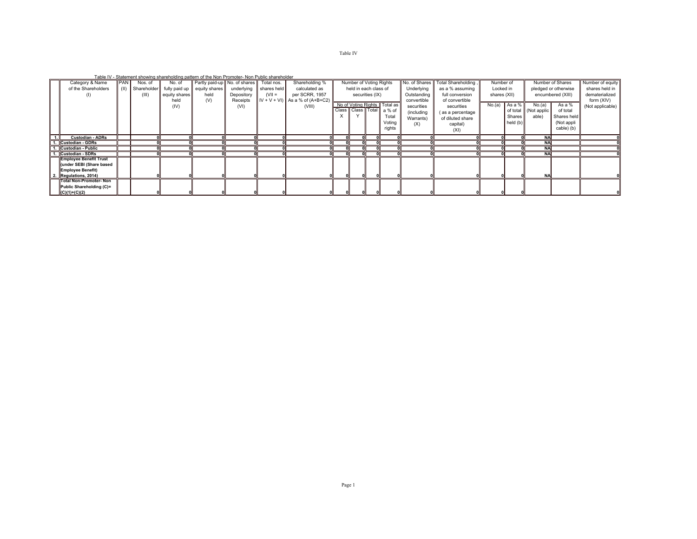## Table IV

Table IV - Statement showing shareholding pattern of the Non Promoter- Non Public shareholder

|                               |            | is able to the characteristic characteristic pattern of the Herman Hermann and characteristic |               |                                         |            |             |                                      |          |                         |                 |                              |               |                     |              |            |            |                      |                  |
|-------------------------------|------------|-----------------------------------------------------------------------------------------------|---------------|-----------------------------------------|------------|-------------|--------------------------------------|----------|-------------------------|-----------------|------------------------------|---------------|---------------------|--------------|------------|------------|----------------------|------------------|
| Category & Name               | <b>PAN</b> | Nos. of                                                                                       | No. of        | Partly paid-up No. of shares Total nos. |            |             | Shareholding %                       |          | Number of Voting Rights |                 |                              | No. of Shares | Total Shareholding, | Number of    |            |            | Number of Shares     | Number of equity |
| of the Shareholders           | (II)       | Shareholder                                                                                   |               | fully paid up equity shares             | underlying | shares held | calculated as                        |          | held in each class of   |                 |                              | Underlying    | as a % assuming     | Locked in    |            |            | pledged or otherwise | shares held in   |
| (1)                           |            | (III)                                                                                         | equity shares | held                                    | Depository | $(VII =$    | per SCRR, 1957                       |          |                         | securities (IX) |                              | Outstanding   | full conversion     | shares (XII) |            |            | encumbered (XIII)    | dematerialized   |
|                               |            |                                                                                               | held          | (V)                                     | Receipts   |             | $IV + V + VI$ ) As a % of $(A+B+C2)$ |          |                         |                 |                              | convertible   | of convertible      |              |            |            |                      | form (XIV)       |
|                               |            |                                                                                               | (IV)          |                                         | (VI)       |             | (VIII)                               |          |                         |                 | No of Voting Rights Total as | securities    | securities          | No.(a)       | As a %     | No.(a)     | As a %               | (Not applicable) |
|                               |            |                                                                                               |               |                                         |            |             |                                      |          |                         |                 | Class Class Total a % of     | (including    | (as a percentage    |              | of total   | Not applic | of total             |                  |
|                               |            |                                                                                               |               |                                         |            |             |                                      | $\times$ |                         |                 | Total                        | Warrants)     | of diluted share    |              | Shares     | able)      | Shares held          |                  |
|                               |            |                                                                                               |               |                                         |            |             |                                      |          |                         |                 | Votina                       | (X)           | capital)            |              | held $(b)$ |            | (Not appli           |                  |
|                               |            |                                                                                               |               |                                         |            |             |                                      |          |                         |                 | rights                       |               | (XI)                |              |            |            | cable) (b)           |                  |
|                               |            |                                                                                               |               |                                         |            |             |                                      |          |                         |                 |                              |               |                     |              |            |            |                      |                  |
| <b>Custodian - ADRs</b>       |            |                                                                                               |               |                                         |            |             |                                      |          |                         |                 |                              |               |                     |              |            | <b>NA</b>  |                      |                  |
| 1. Custodian - GDRs           |            |                                                                                               |               |                                         |            |             |                                      |          |                         |                 |                              |               |                     |              |            | <b>NAI</b> |                      |                  |
| 1. Custodian - Public         |            |                                                                                               |               |                                         |            |             |                                      |          |                         |                 |                              |               |                     |              |            | <b>NA</b>  |                      |                  |
| 1. Custodian - SDRs           |            |                                                                                               |               |                                         |            |             |                                      |          |                         |                 |                              |               |                     |              |            | <b>NA</b>  |                      |                  |
| <b>Employee Benefit Trust</b> |            |                                                                                               |               |                                         |            |             |                                      |          |                         |                 |                              |               |                     |              |            |            |                      |                  |
| (under SEBI (Share based      |            |                                                                                               |               |                                         |            |             |                                      |          |                         |                 |                              |               |                     |              |            |            |                      |                  |
| <b>Employee Benefit)</b>      |            |                                                                                               |               |                                         |            |             |                                      |          |                         |                 |                              |               |                     |              |            |            |                      |                  |
| Regulations, 2014)            |            |                                                                                               |               |                                         |            |             |                                      |          |                         |                 |                              |               |                     |              |            | <b>NA</b>  |                      |                  |
| <b>Total Non-Promoter-Non</b> |            |                                                                                               |               |                                         |            |             |                                      |          |                         |                 |                              |               |                     |              |            |            |                      |                  |
| Public Shareholding (C)=      |            |                                                                                               |               |                                         |            |             |                                      |          |                         |                 |                              |               |                     |              |            |            |                      |                  |
| $(C)(1)+(C)(2)$               |            |                                                                                               |               |                                         |            |             |                                      |          |                         |                 |                              |               |                     |              |            |            |                      |                  |